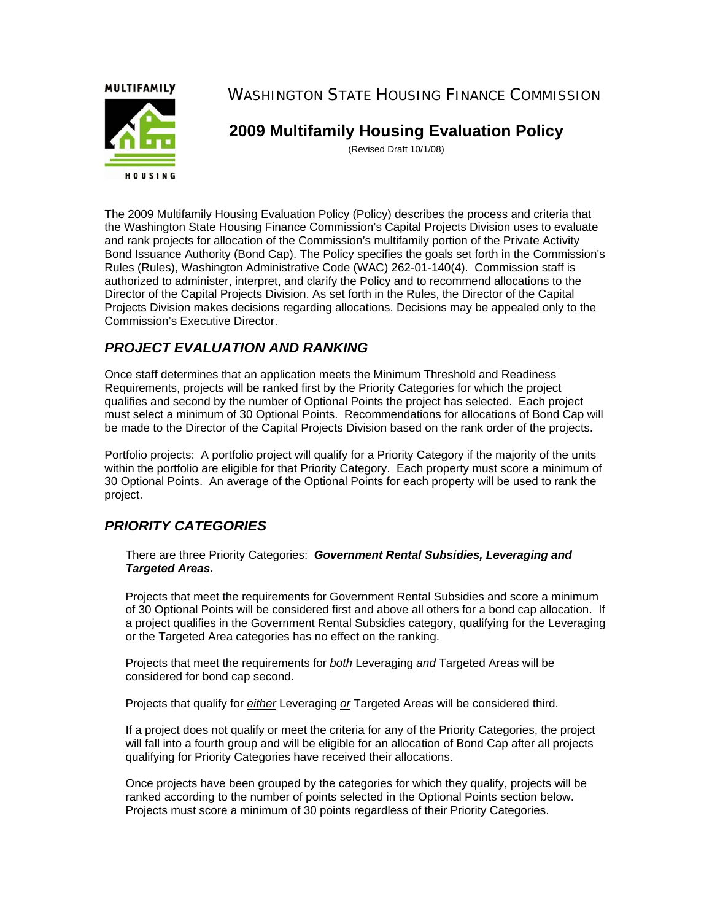**MULTIFAMILY** 



WASHINGTON STATE HOUSING FINANCE COMMISSION

**2009 Multifamily Housing Evaluation Policy** 

(Revised Draft 10/1/08)

The 2009 Multifamily Housing Evaluation Policy (Policy) describes the process and criteria that the Washington State Housing Finance Commission's Capital Projects Division uses to evaluate and rank projects for allocation of the Commission's multifamily portion of the Private Activity Bond Issuance Authority (Bond Cap). The Policy specifies the goals set forth in the Commission's Rules (Rules), Washington Administrative Code (WAC) 262-01-140(4). Commission staff is authorized to administer, interpret, and clarify the Policy and to recommend allocations to the Director of the Capital Projects Division. As set forth in the Rules, the Director of the Capital Projects Division makes decisions regarding allocations. Decisions may be appealed only to the Commission's Executive Director.

# *PROJECT EVALUATION AND RANKING*

Once staff determines that an application meets the Minimum Threshold and Readiness Requirements, projects will be ranked first by the Priority Categories for which the project qualifies and second by the number of Optional Points the project has selected. Each project must select a minimum of 30 Optional Points. Recommendations for allocations of Bond Cap will be made to the Director of the Capital Projects Division based on the rank order of the projects.

Portfolio projects: A portfolio project will qualify for a Priority Category if the majority of the units within the portfolio are eligible for that Priority Category. Each property must score a minimum of 30 Optional Points. An average of the Optional Points for each property will be used to rank the project.

# *PRIORITY CATEGORIES*

There are three Priority Categories: *Government Rental Subsidies, Leveraging and Targeted Areas.*

Projects that meet the requirements for Government Rental Subsidies and score a minimum of 30 Optional Points will be considered first and above all others for a bond cap allocation. If a project qualifies in the Government Rental Subsidies category, qualifying for the Leveraging or the Targeted Area categories has no effect on the ranking.

Projects that meet the requirements for *both* Leveraging *and* Targeted Areas will be considered for bond cap second.

Projects that qualify for *either* Leveraging *or* Targeted Areas will be considered third.

If a project does not qualify or meet the criteria for any of the Priority Categories, the project will fall into a fourth group and will be eligible for an allocation of Bond Cap after all projects qualifying for Priority Categories have received their allocations.

Once projects have been grouped by the categories for which they qualify, projects will be ranked according to the number of points selected in the Optional Points section below. Projects must score a minimum of 30 points regardless of their Priority Categories.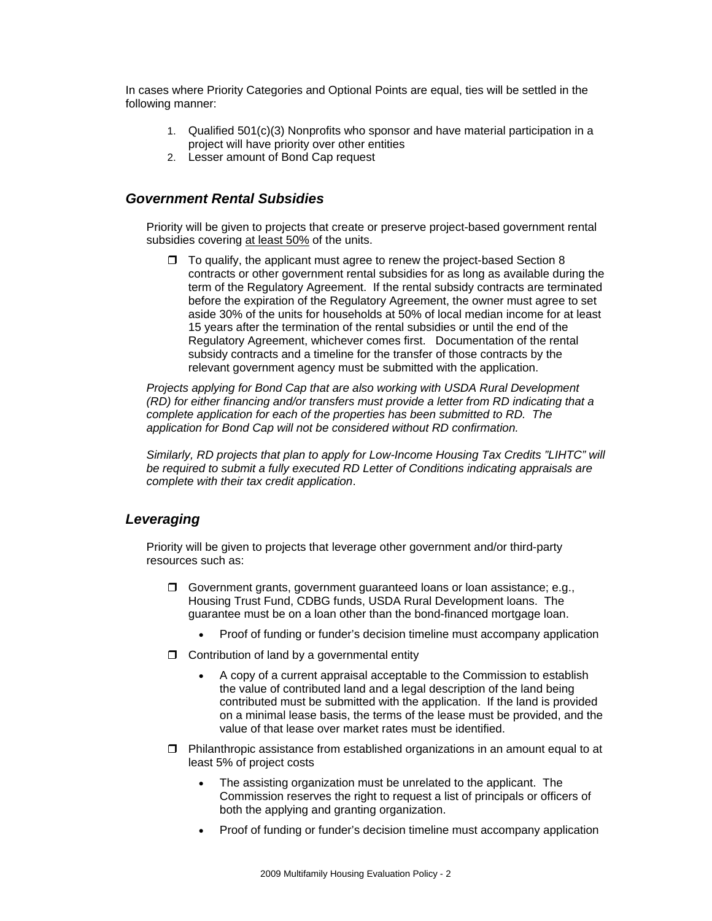In cases where Priority Categories and Optional Points are equal, ties will be settled in the following manner:

- 1. Qualified 501(c)(3) Nonprofits who sponsor and have material participation in a project will have priority over other entities
- 2. Lesser amount of Bond Cap request

# *Government Rental Subsidies*

Priority will be given to projects that create or preserve project-based government rental subsidies covering at least 50% of the units.

 $\Box$  To qualify, the applicant must agree to renew the project-based Section 8 contracts or other government rental subsidies for as long as available during the term of the Regulatory Agreement. If the rental subsidy contracts are terminated before the expiration of the Regulatory Agreement, the owner must agree to set aside 30% of the units for households at 50% of local median income for at least 15 years after the termination of the rental subsidies or until the end of the Regulatory Agreement, whichever comes first. Documentation of the rental subsidy contracts and a timeline for the transfer of those contracts by the relevant government agency must be submitted with the application.

*Projects applying for Bond Cap that are also working with USDA Rural Development (RD) for either financing and/or transfers must provide a letter from RD indicating that a complete application for each of the properties has been submitted to RD. The application for Bond Cap will not be considered without RD confirmation.* 

*Similarly, RD projects that plan to apply for Low-Income Housing Tax Credits "LIHTC" will be required to submit a fully executed RD Letter of Conditions indicating appraisals are complete with their tax credit application*.

# *Leveraging*

Priority will be given to projects that leverage other government and/or third-party resources such as:

- Government grants, government guaranteed loans or loan assistance; e.g., Housing Trust Fund, CDBG funds, USDA Rural Development loans. The guarantee must be on a loan other than the bond-financed mortgage loan.
	- Proof of funding or funder's decision timeline must accompany application
- $\Box$  Contribution of land by a governmental entity
	- A copy of a current appraisal acceptable to the Commission to establish the value of contributed land and a legal description of the land being contributed must be submitted with the application. If the land is provided on a minimal lease basis, the terms of the lease must be provided, and the value of that lease over market rates must be identified.
- $\Box$  Philanthropic assistance from established organizations in an amount equal to at least 5% of project costs
	- The assisting organization must be unrelated to the applicant. The Commission reserves the right to request a list of principals or officers of both the applying and granting organization.
	- Proof of funding or funder's decision timeline must accompany application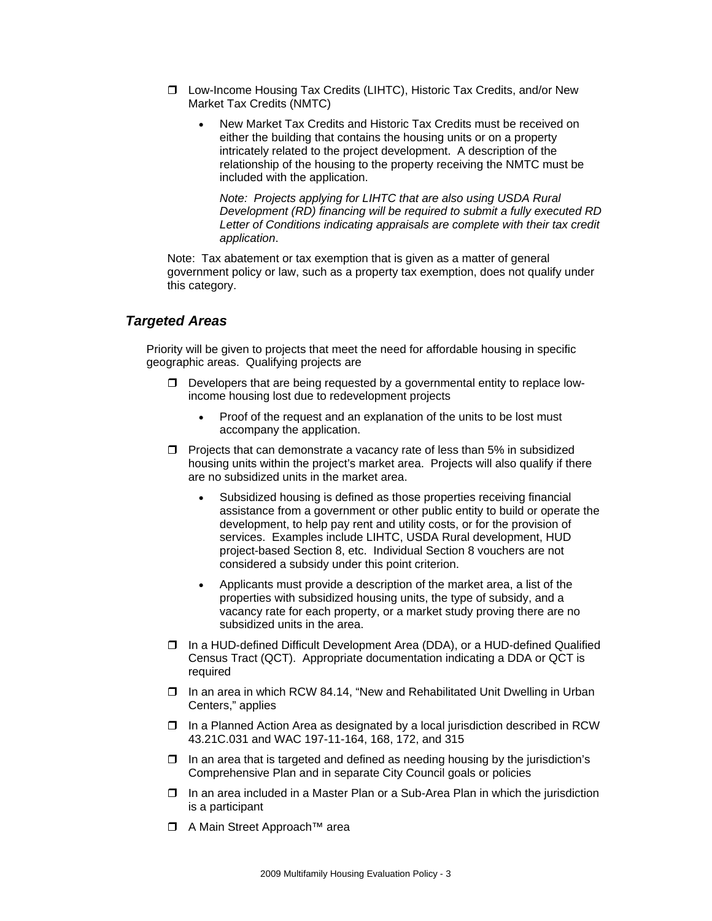- □ Low-Income Housing Tax Credits (LIHTC), Historic Tax Credits, and/or New Market Tax Credits (NMTC)
	- New Market Tax Credits and Historic Tax Credits must be received on either the building that contains the housing units or on a property intricately related to the project development. A description of the relationship of the housing to the property receiving the NMTC must be included with the application.

*Note: Projects applying for LIHTC that are also using USDA Rural Development (RD) financing will be required to submit a fully executed RD Letter of Conditions indicating appraisals are complete with their tax credit application*.

Note: Tax abatement or tax exemption that is given as a matter of general government policy or law, such as a property tax exemption, does not qualify under this category.

# *Targeted Areas*

Priority will be given to projects that meet the need for affordable housing in specific geographic areas. Qualifying projects are

- $\square$  Developers that are being requested by a governmental entity to replace lowincome housing lost due to redevelopment projects
	- Proof of the request and an explanation of the units to be lost must accompany the application.
- $\Box$  Projects that can demonstrate a vacancy rate of less than 5% in subsidized housing units within the project's market area. Projects will also qualify if there are no subsidized units in the market area.
	- Subsidized housing is defined as those properties receiving financial assistance from a government or other public entity to build or operate the development, to help pay rent and utility costs, or for the provision of services. Examples include LIHTC, USDA Rural development, HUD project-based Section 8, etc. Individual Section 8 vouchers are not considered a subsidy under this point criterion.
	- Applicants must provide a description of the market area, a list of the properties with subsidized housing units, the type of subsidy, and a vacancy rate for each property, or a market study proving there are no subsidized units in the area.
- In a HUD-defined Difficult Development Area (DDA), or a HUD-defined Qualified Census Tract (QCT). Appropriate documentation indicating a DDA or QCT is required
- □ In an area in which RCW 84.14, "New and Rehabilitated Unit Dwelling in Urban Centers," applies
- $\Box$  In a Planned Action Area as designated by a local jurisdiction described in RCW 43.21C.031 and WAC 197-11-164, 168, 172, and 315
- $\Box$  In an area that is targeted and defined as needing housing by the jurisdiction's Comprehensive Plan and in separate City Council goals or policies
- $\Box$  In an area included in a Master Plan or a Sub-Area Plan in which the jurisdiction is a participant
- A Main Street Approach™ area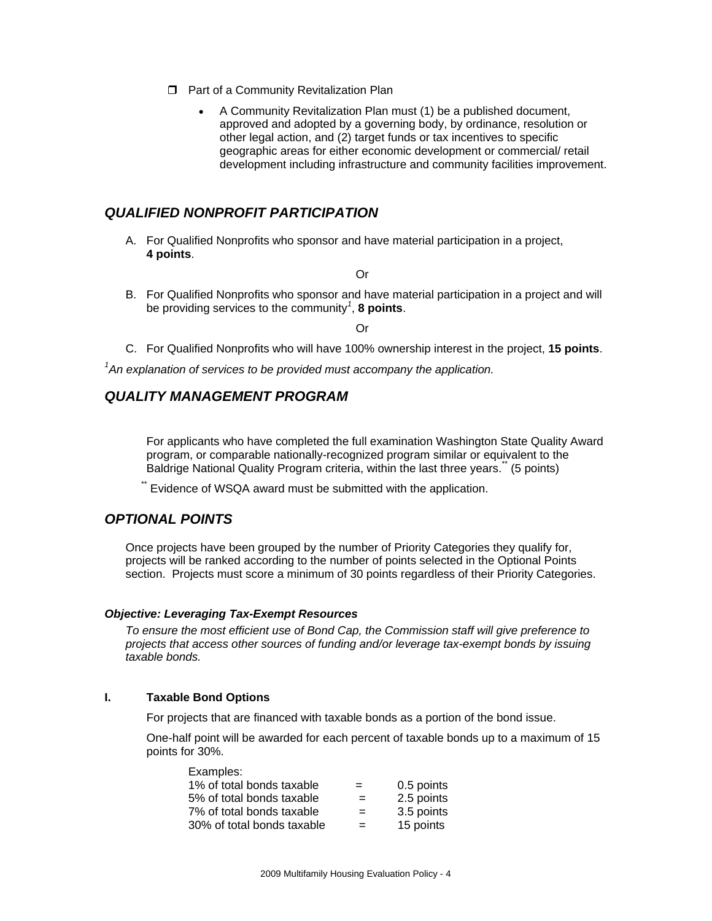- **D** Part of a Community Revitalization Plan
	- A Community Revitalization Plan must (1) be a published document, approved and adopted by a governing body, by ordinance, resolution or other legal action, and (2) target funds or tax incentives to specific geographic areas for either economic development or commercial/ retail development including infrastructure and community facilities improvement.

# *QUALIFIED NONPROFIT PARTICIPATION*

A. For Qualified Nonprofits who sponsor and have material participation in a project, **4 points**.

Or

B. For Qualified Nonprofits who sponsor and have material participation in a project and will be providing services to the community*<sup>1</sup>* , **8 points**.

Or

C. For Qualified Nonprofits who will have 100% ownership interest in the project, **15 points**.

<sup>1</sup> An explanation of services to be provided must accompany the application.

# *QUALITY MANAGEMENT PROGRAM*

For applicants who have completed the full examination Washington State Quality Award program, or comparable nationally-recognized program similar or equivalent to the Baldrige National Quality Program criteria, within the last three years." (5 points)

Evidence of WSQA award must be submitted with the application.

# *OPTIONAL POINTS*

Once projects have been grouped by the number of Priority Categories they qualify for, projects will be ranked according to the number of points selected in the Optional Points section. Projects must score a minimum of 30 points regardless of their Priority Categories.

#### *Objective: Leveraging Tax-Exempt Resources*

*To ensure the most efficient use of Bond Cap, the Commission staff will give preference to projects that access other sources of funding and/or leverage tax-exempt bonds by issuing taxable bonds.* 

#### **I. Taxable Bond Options**

For projects that are financed with taxable bonds as a portion of the bond issue.

One-half point will be awarded for each percent of taxable bonds up to a maximum of 15 points for 30%.

| Examples:                  |     |            |
|----------------------------|-----|------------|
| 1% of total bonds taxable  | $=$ | 0.5 points |
| 5% of total bonds taxable  | $=$ | 2.5 points |
| 7% of total bonds taxable  | $=$ | 3.5 points |
| 30% of total bonds taxable | $=$ | 15 points  |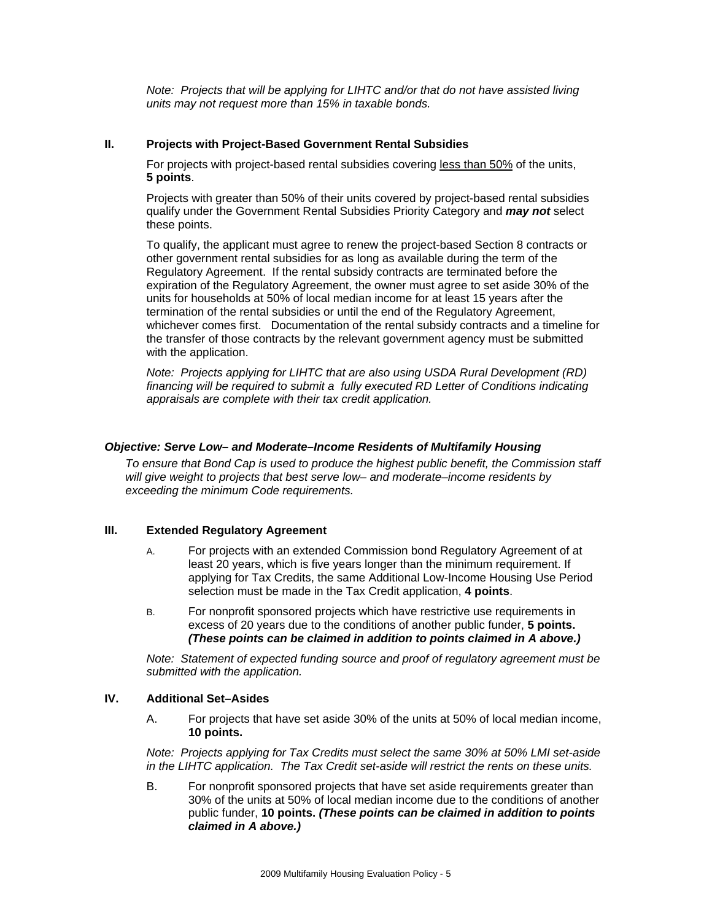*Note: Projects that will be applying for LIHTC and/or that do not have assisted living units may not request more than 15% in taxable bonds.* 

#### **II. Projects with Project-Based Government Rental Subsidies**

For projects with project-based rental subsidies covering less than 50% of the units, **5 points**.

Projects with greater than 50% of their units covered by project-based rental subsidies qualify under the Government Rental Subsidies Priority Category and *may not* select these points.

To qualify, the applicant must agree to renew the project-based Section 8 contracts or other government rental subsidies for as long as available during the term of the Regulatory Agreement. If the rental subsidy contracts are terminated before the expiration of the Regulatory Agreement, the owner must agree to set aside 30% of the units for households at 50% of local median income for at least 15 years after the termination of the rental subsidies or until the end of the Regulatory Agreement, whichever comes first. Documentation of the rental subsidy contracts and a timeline for the transfer of those contracts by the relevant government agency must be submitted with the application.

*Note: Projects applying for LIHTC that are also using USDA Rural Development (RD) financing will be required to submit a fully executed RD Letter of Conditions indicating appraisals are complete with their tax credit application.*

#### *Objective: Serve Low– and Moderate–Income Residents of Multifamily Housing*

*To ensure that Bond Cap is used to produce the highest public benefit, the Commission staff will give weight to projects that best serve low– and moderate–income residents by exceeding the minimum Code requirements.* 

#### **III. Extended Regulatory Agreement**

- A. For projects with an extended Commission bond Regulatory Agreement of at least 20 years, which is five years longer than the minimum requirement. If applying for Tax Credits, the same Additional Low-Income Housing Use Period selection must be made in the Tax Credit application, **4 points**.
- B. For nonprofit sponsored projects which have restrictive use requirements in excess of 20 years due to the conditions of another public funder, **5 points.** *(These points can be claimed in addition to points claimed in A above.)*

*Note: Statement of expected funding source and proof of regulatory agreement must be submitted with the application.*

#### **IV. Additional Set–Asides**

A. For projects that have set aside 30% of the units at 50% of local median income, **10 points.**

*Note: Projects applying for Tax Credits must select the same 30% at 50% LMI set-aside in the LIHTC application. The Tax Credit set-aside will restrict the rents on these units.* 

B. For nonprofit sponsored projects that have set aside requirements greater than 30% of the units at 50% of local median income due to the conditions of another public funder, **10 points.** *(These points can be claimed in addition to points claimed in A above.)*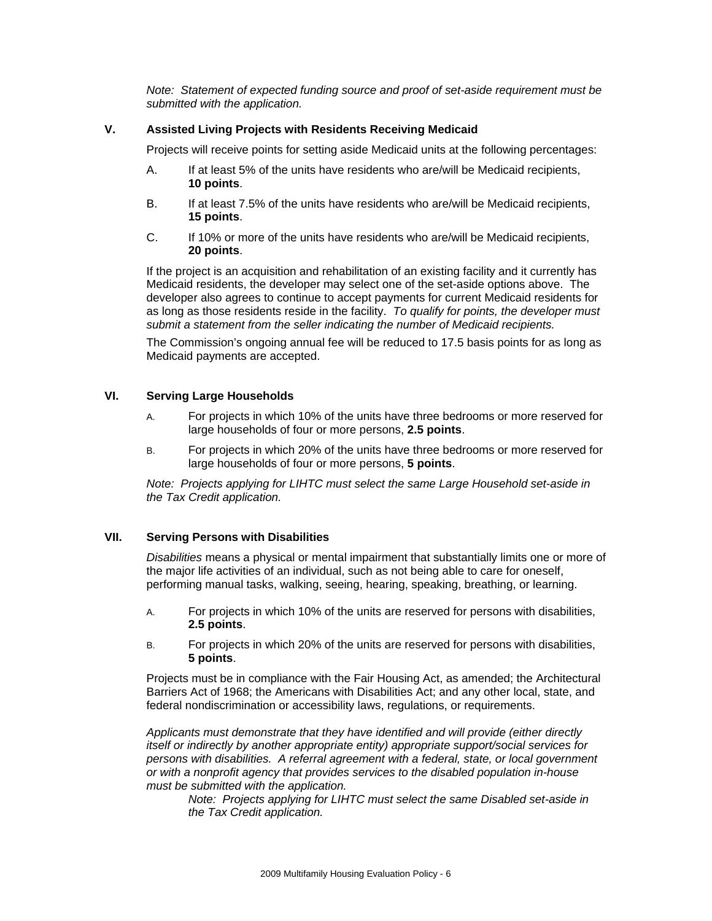*Note: Statement of expected funding source and proof of set-aside requirement must be submitted with the application.* 

### **V. Assisted Living Projects with Residents Receiving Medicaid**

Projects will receive points for setting aside Medicaid units at the following percentages:

- A. If at least 5% of the units have residents who are/will be Medicaid recipients, **10 points**.
- B. If at least 7.5% of the units have residents who are/will be Medicaid recipients, **15 points**.
- C. If 10% or more of the units have residents who are/will be Medicaid recipients, **20 points**.

If the project is an acquisition and rehabilitation of an existing facility and it currently has Medicaid residents, the developer may select one of the set-aside options above. The developer also agrees to continue to accept payments for current Medicaid residents for as long as those residents reside in the facility. *To qualify for points, the developer must submit a statement from the seller indicating the number of Medicaid recipients.* 

The Commission's ongoing annual fee will be reduced to 17.5 basis points for as long as Medicaid payments are accepted.

## **VI. Serving Large Households**

- A. For projects in which 10% of the units have three bedrooms or more reserved for large households of four or more persons, **2.5 points**.
- B. For projects in which 20% of the units have three bedrooms or more reserved for large households of four or more persons, **5 points**.

*Note: Projects applying for LIHTC must select the same Large Household set-aside in the Tax Credit application.* 

#### **VII. Serving Persons with Disabilities**

*Disabilities* means a physical or mental impairment that substantially limits one or more of the major life activities of an individual, such as not being able to care for oneself, performing manual tasks, walking, seeing, hearing, speaking, breathing, or learning.

- A. For projects in which 10% of the units are reserved for persons with disabilities, **2.5 points**.
- B. For projects in which 20% of the units are reserved for persons with disabilities, **5 points**.

Projects must be in compliance with the Fair Housing Act, as amended; the Architectural Barriers Act of 1968; the Americans with Disabilities Act; and any other local, state, and federal nondiscrimination or accessibility laws, regulations, or requirements.

*Applicants must demonstrate that they have identified and will provide (either directly itself or indirectly by another appropriate entity) appropriate support/social services for persons with disabilities. A referral agreement with a federal, state, or local government or with a nonprofit agency that provides services to the disabled population in-house must be submitted with the application.* 

*Note: Projects applying for LIHTC must select the same Disabled set-aside in the Tax Credit application.*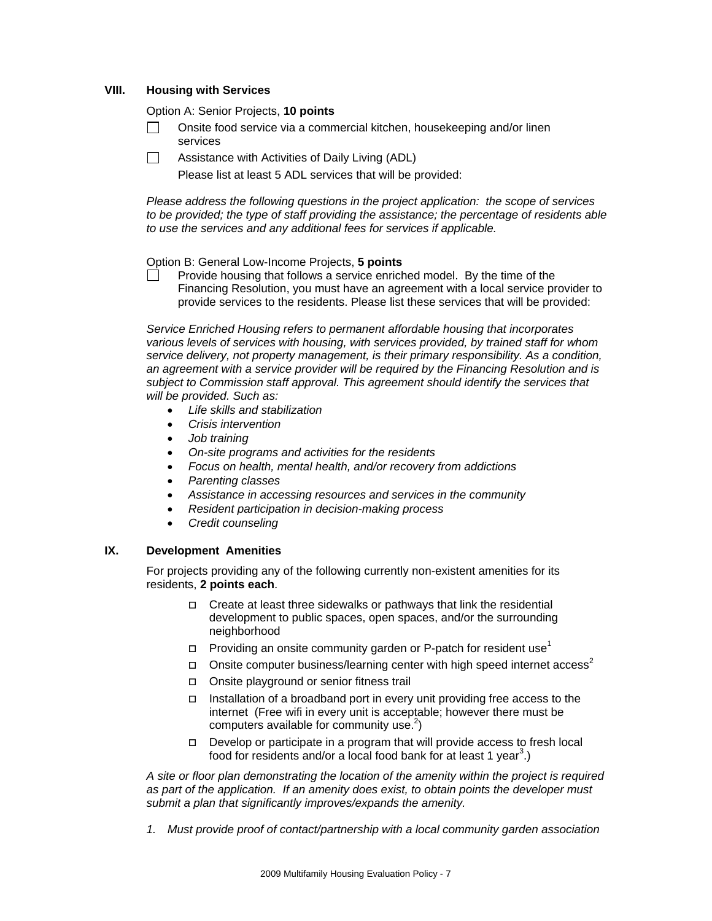### **VIII. Housing with Services**

Option A: Senior Projects, **10 points**

- $\Box$  Onsite food service via a commercial kitchen, housekeeping and/or linen services
- $\Box$  Assistance with Activities of Daily Living (ADL)

Please list at least 5 ADL services that will be provided:

*Please address the following questions in the project application: the scope of services to be provided; the type of staff providing the assistance; the percentage of residents able to use the services and any additional fees for services if applicable.* 

Option B: General Low-Income Projects, **5 points**

 $\Box$  Provide housing that follows a service enriched model. By the time of the Financing Resolution, you must have an agreement with a local service provider to provide services to the residents. Please list these services that will be provided:

*Service Enriched Housing refers to permanent affordable housing that incorporates various levels of services with housing, with services provided, by trained staff for whom service delivery, not property management, is their primary responsibility. As a condition, an agreement with a service provider will be required by the Financing Resolution and is subject to Commission staff approval. This agreement should identify the services that will be provided. Such as:* 

- *Life skills and stabilization*
- *Crisis intervention*
- *Job training*
- *On-site programs and activities for the residents*
- *Focus on health, mental health, and/or recovery from addictions*
- *Parenting classes*
- *Assistance in accessing resources and services in the community*
- *Resident participation in decision-making process*
- *Credit counseling*

### **IX. Development Amenities**

For projects providing any of the following currently non-existent amenities for its residents, **2 points each**.

- $\Box$  Create at least three sidewalks or pathways that link the residential development to public spaces, open spaces, and/or the surrounding neighborhood
- $\Box$  Providing an onsite community garden or P-patch for resident use<sup>1</sup>
- Onsite computer business/learning center with high speed internet access<sup>2</sup>
- Onsite playground or senior fitness trail
- Installation of a broadband port in every unit providing free access to the internet (Free wifi in every unit is acceptable; however there must be computers available for community use. $2$ )
- $\Box$  Develop or participate in a program that will provide access to fresh local food for residents and/or a local food bank for at least 1 year<sup>3</sup>.)

*A site or floor plan demonstrating the location of the amenity within the project is required as part of the application. If an amenity does exist, to obtain points the developer must submit a plan that significantly improves/expands the amenity.* 

*1. Must provide proof of contact/partnership with a local community garden association*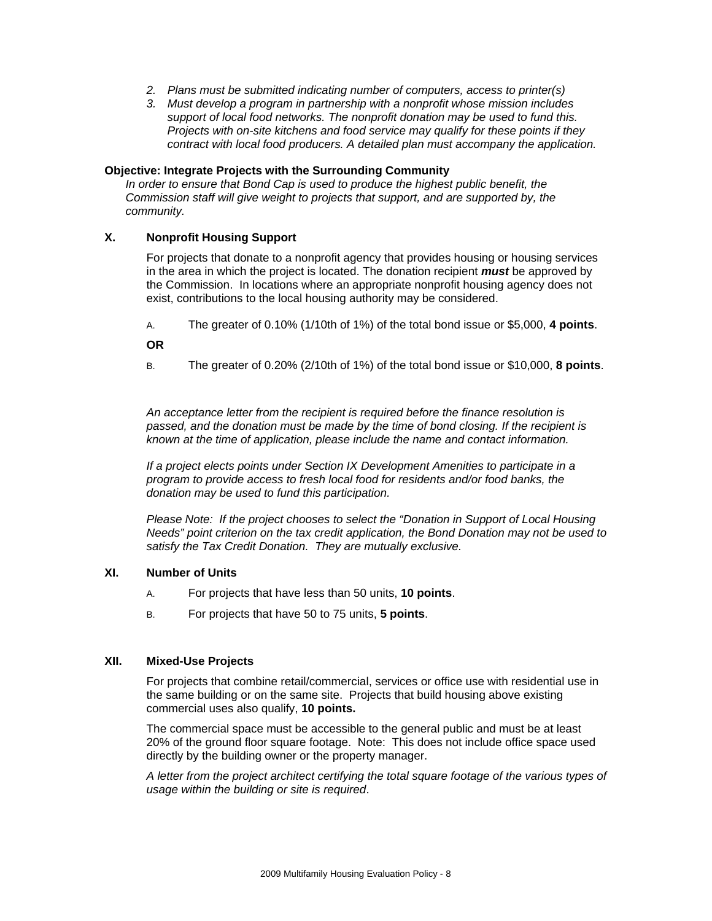- *2. Plans must be submitted indicating number of computers, access to printer(s)*
- *3. Must develop a program in partnership with a nonprofit whose mission includes support of local food networks. The nonprofit donation may be used to fund this. Projects with on-site kitchens and food service may qualify for these points if they contract with local food producers. A detailed plan must accompany the application.*

#### **Objective: Integrate Projects with the Surrounding Community**

*In order to ensure that Bond Cap is used to produce the highest public benefit, the Commission staff will give weight to projects that support, and are supported by, the community.* 

### **X. Nonprofit Housing Support**

For projects that donate to a nonprofit agency that provides housing or housing services in the area in which the project is located. The donation recipient *must* be approved by the Commission. In locations where an appropriate nonprofit housing agency does not exist, contributions to the local housing authority may be considered.

A. The greater of 0.10% (1/10th of 1%) of the total bond issue or \$5,000, **4 points**.

**OR** 

B. The greater of 0.20% (2/10th of 1%) of the total bond issue or \$10,000, **8 points**.

*An acceptance letter from the recipient is required before the finance resolution is passed, and the donation must be made by the time of bond closing. If the recipient is known at the time of application, please include the name and contact information.* 

*If a project elects points under Section IX Development Amenities to participate in a program to provide access to fresh local food for residents and/or food banks, the donation may be used to fund this participation.* 

*Please Note: If the project chooses to select the "Donation in Support of Local Housing Needs" point criterion on the tax credit application, the Bond Donation may not be used to satisfy the Tax Credit Donation. They are mutually exclusive.* 

#### **XI. Number of Units**

- A. For projects that have less than 50 units, **10 points**.
- B. For projects that have 50 to 75 units, **5 points**.

#### **XII. Mixed-Use Projects**

For projects that combine retail/commercial, services or office use with residential use in the same building or on the same site. Projects that build housing above existing commercial uses also qualify, **10 points.** 

The commercial space must be accessible to the general public and must be at least 20% of the ground floor square footage. Note: This does not include office space used directly by the building owner or the property manager.

*A letter from the project architect certifying the total square footage of the various types of usage within the building or site is required*.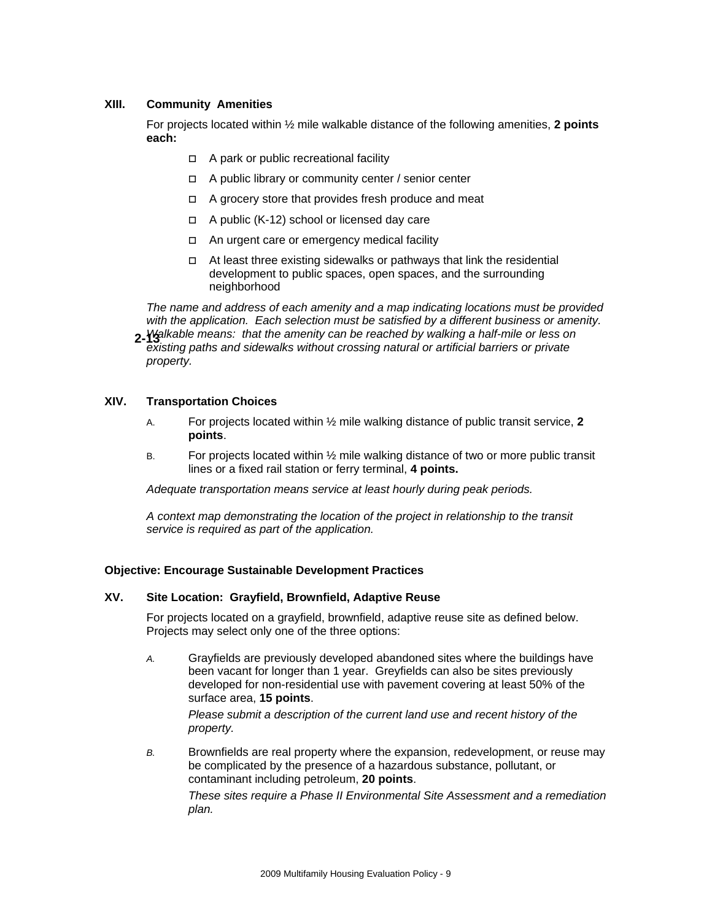## **XIII. Community Amenities**

For projects located within ½ mile walkable distance of the following amenities, **2 points each:** 

- □ A park or public recreational facility
- A public library or community center / senior center
- $\Box$  A grocery store that provides fresh produce and meat
- A public (K-12) school or licensed day care
- □ An urgent care or emergency medical facility
- $\Box$  At least three existing sidewalks or pathways that link the residential development to public spaces, open spaces, and the surrounding neighborhood

*The name and address of each amenity and a map indicating locations must be provided with the application. Each selection must be satisfied by a different business or amenity.* 

*Walkable means: that the amenity can be reached by walking a half-mile or less on*  **2-13**  *existing paths and sidewalks without crossing natural or artificial barriers or private property.* 

### **XIV. Transportation Choices**

- A. For projects located within ½ mile walking distance of public transit service, **2 points**.
- B. For projects located within ½ mile walking distance of two or more public transit lines or a fixed rail station or ferry terminal, **4 points.**

*Adequate transportation means service at least hourly during peak periods.* 

*A context map demonstrating the location of the project in relationship to the transit service is required as part of the application.* 

#### **Objective: Encourage Sustainable Development Practices**

### **XV. Site Location: Grayfield, Brownfield, Adaptive Reuse**

For projects located on a grayfield, brownfield, adaptive reuse site as defined below. Projects may select only one of the three options:

*A.* Grayfields are previously developed abandoned sites where the buildings have been vacant for longer than 1 year. Greyfields can also be sites previously developed for non-residential use with pavement covering at least 50% of the surface area, **15 points**.

*Please submit a description of the current land use and recent history of the property.*

*B.* Brownfields are real property where the expansion, redevelopment, or reuse may be complicated by the presence of a hazardous substance, pollutant, or contaminant including petroleum, **20 points**.

*These sites require a Phase II Environmental Site Assessment and a remediation plan.*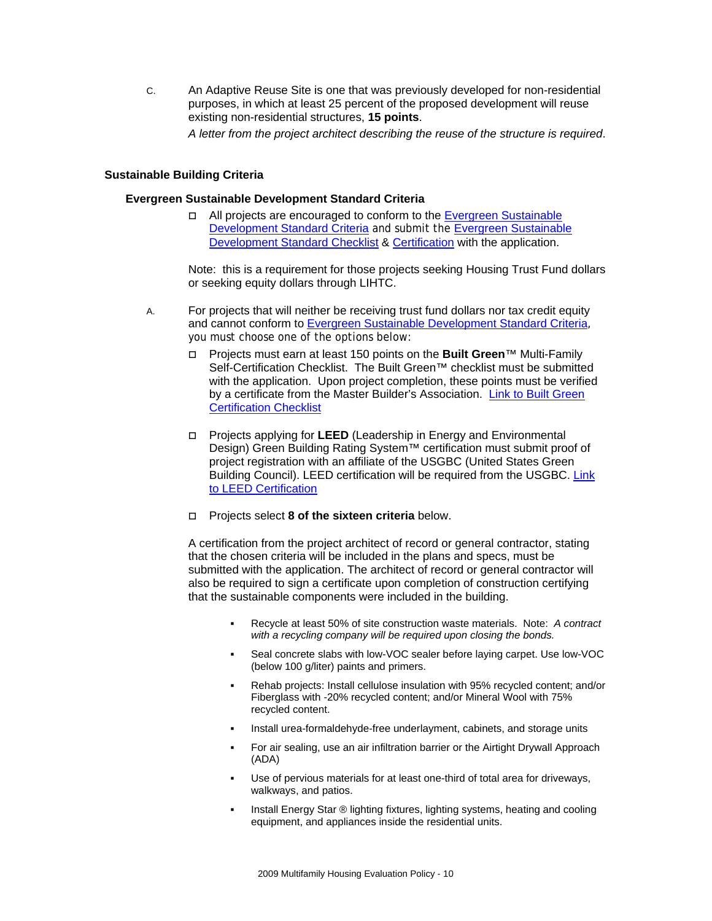C. An Adaptive Reuse Site is one that was previously developed for non-residential purposes, in which at least 25 percent of the proposed development will reuse existing non-residential structures, **15 points**.

*A letter from the project architect describing the reuse of the structure is required*.

#### **Sustainable Building Criteria**

#### **Evergreen Sustainable Development Standard Criteria**

□ All projects are encouraged to conform to the Evergreen Sustainable [Development Standard Criteria](http://www.cted.wa.gov/DesktopModules/CTEDPublications/CTEDPublicationsView.aspx?tabID=0&ItemID=1545&MId=870&wversion=Staging) and submit the Evergreen Sustainable [Development Standard Checklist](http://www.wshfc.org/housing/2009evergreenchecklist.xls) & [Certification](http://www.wshfc.org/housing/2009evergreenownercertification.doc) with the application.

Note: this is a requirement for those projects seeking Housing Trust Fund dollars or seeking equity dollars through LIHTC.

- A. For projects that will neither be receiving trust fund dollars nor tax credit equity and cannot conform to [Evergreen Sustainable Development Standard Criteria](http://www.cted.wa.gov/DesktopModules/CTEDPublications/CTEDPublicationsView.aspx?tabID=0&ItemID=1545&MId=870&wversion=Staging), you must choose one of the options below:
	- Projects must earn at least 150 points on the **Built Green**™ Multi-Family Self-Certification Checklist. The Built Green™ checklist must be submitted with the application. Upon project completion, these points must be verified by a certificate from t[he](http://www.builtgreen.net/documents/Multifamily%20Checklist.pdf) Master Builder's Association. [Link to Built Green](http://www.builtgreen.net/documents/Multifamily%20Checklist.pdf)  [Certification Checklist](http://www.builtgreen.net/documents/Multifamily%20Checklist.pdf)
	- Projects applying for **LEED** (Leadership in Energy and Environmental Design) Green Building Rating System™ certification must submit proof of project registration with an affiliate of the USGBC (United States Green Building Council). LEED certification will be required from the USGBC. [Link](http://www.usgbc.org/leed/)  [to LEED Certification](http://www.usgbc.org/leed/)
	- [Projects select](http://www.usgbc.org/leed/) **8 of the sixteen criteria** below.

[A certification from the project architect of record or general contractor, stating](http://www.usgbc.org/leed/)  [that the chosen criteria will be included in the plans and specs, must be](http://www.usgbc.org/leed/)  [submitted with the application. The architect of record or general contractor will](http://www.usgbc.org/leed/)  [also be required to sign a certificate upon completion of construction certifying](http://www.usgbc.org/leed/)  [that the sustainable components were included in the building.](http://www.usgbc.org/leed/) 

- Recycle at least 50% of site construction waste materials. Note: *A contract with a recycling company will be required upon closing the bonds.*
- Seal concrete slabs with low-VOC sealer before laying carpet. Use low-VOC (below 100 g/liter) paints and primers.
- Rehab projects: Install cellulose insulation with 95% recycled content; and/or Fiberglass with -20% recycled content; and/or Mineral Wool with 75% recycled content.
- Install urea-formaldehyde-free underlayment, cabinets, and storage units
- For air sealing, use an air infiltration barrier or the Airtight Drywall Approach (ADA)
- Use of pervious materials for at least one-third of total area for driveways, walkways, and patios.
- Install Energy Star ® lighting fixtures, lighting systems, heating and cooling equipment, and appliances inside the residential units.